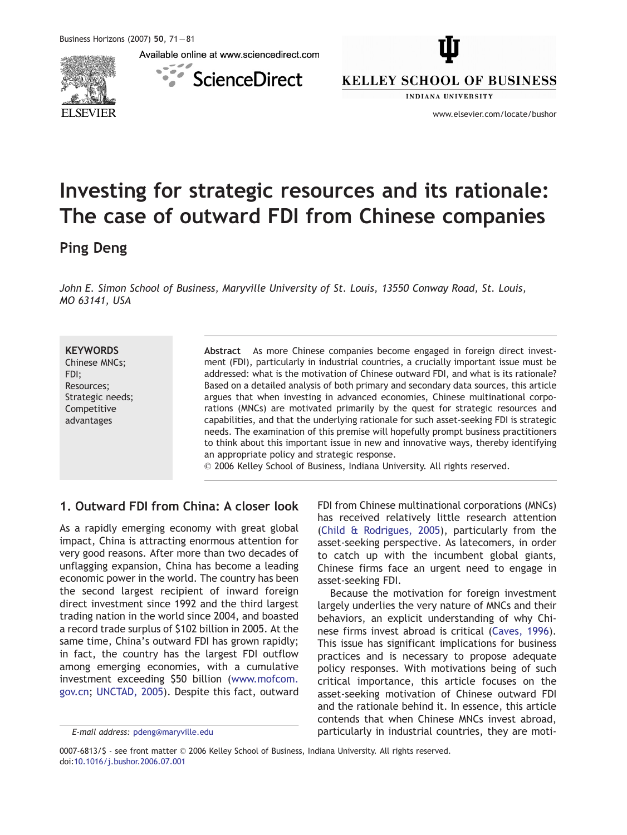Available online at www.sciencedirect.com



 $\epsilon$ **ScienceDirect** 



**INDIANA UNIVERSITY** 

www.elsevier.com/locate/bushor

# Investing for strategic resources and its rationale: The case of outward FDI from Chinese companies

### Ping Deng

John E. Simon School of Business, Maryville University of St. Louis, 13550 Conway Road, St. Louis, MO 63141, USA

#### **KEYWORDS**

Chinese MNCs; FDI; Resources; Strategic needs; Competitive advantages

Abstract As more Chinese companies become engaged in foreign direct investment (FDI), particularly in industrial countries, a crucially important issue must be addressed: what is the motivation of Chinese outward FDI, and what is its rationale? Based on a detailed analysis of both primary and secondary data sources, this article argues that when investing in advanced economies, Chinese multinational corporations (MNCs) are motivated primarily by the quest for strategic resources and capabilities, and that the underlying rationale for such asset-seeking FDI is strategic needs. The examination of this premise will hopefully prompt business practitioners to think about this important issue in new and innovative ways, thereby identifying an appropriate policy and strategic response.

 $\odot$  2006 Kelley School of Business, Indiana University. All rights reserved.

#### 1. Outward FDI from China: A closer look

As a rapidly emerging economy with great global impact, China is attracting enormous attention for very good reasons. After more than two decades of unflagging expansion, China has become a leading economic power in the world. The country has been the second largest recipient of inward foreign direct investment since 1992 and the third largest trading nation in the world since 2004, and boasted a record trade surplus of \$102 billion in 2005. At the same time, China's outward FDI has grown rapidly; in fact, the country has the largest FDI outflow among emerging economies, with a cumulative investment exceeding \$50 billion (w[ww.mofcom.](http://www.mofcom.gov.cn) gov.cn; U[NCTAD, 2005\).](#page--1-0) Despite this fact, outward FDI from Chinese multinational corporations (MNCs) has received relatively little research attention (C[hild & Rodrigues, 2005\),](#page--1-0) particularly from the asset-seeking perspective. As latecomers, in order to catch up with the incumbent global giants, Chinese firms face an urgent need to engage in asset-seeking FDI.

Because the motivation for foreign investment largely underlies the very nature of MNCs and their behaviors, an explicit understanding of why Chinese firms invest abroad is critical (Ca[ves, 1996\).](#page--1-0) This issue has significant implications for business practices and is necessary to propose adequate policy responses. With motivations being of such critical importance, this article focuses on the asset-seeking motivation of Chinese outward FDI and the rationale behind it. In essence, this article contends that when Chinese MNCs invest abroad, particularly in industrial countries, they are moti-

E-mail address: pdeng@maryville.edu

<sup>0007-6813/\$ -</sup> see front matter © 2006 Kelley School of Business, Indiana University. All rights reserved. doi[:10.1016/j.bushor.2006.07.001](http://dx.doi.org/10.1016/j.bushor.2006.07.001)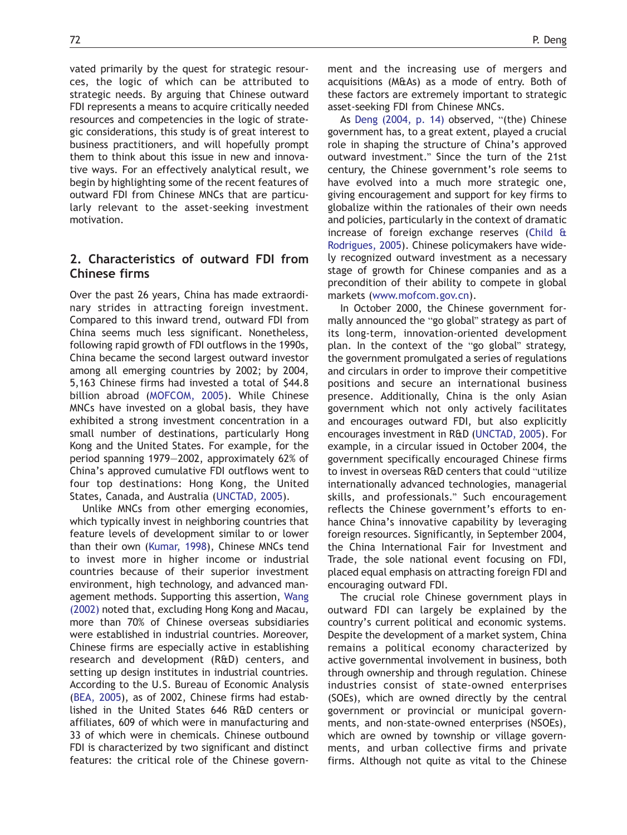vated primarily by the quest for strategic resources, the logic of which can be attributed to strategic needs. By arguing that Chinese outward FDI represents a means to acquire critically needed resources and competencies in the logic of strategic considerations, this study is of great interest to business practitioners, and will hopefully prompt them to think about this issue in new and innovative ways. For an effectively analytical result, we begin by highlighting some of the recent features of outward FDI from Chinese MNCs that are particularly relevant to the asset-seeking investment motivation.

#### 2. Characteristics of outward FDI from Chinese firms

Over the past 26 years, China has made extraordinary strides in attracting foreign investment. Compared to this inward trend, outward FDI from China seems much less significant. Nonetheless, following rapid growth of FDI outflows in the 1990s, China became the second largest outward investor among all emerging countries by 2002; by 2004, 5,163 Chinese firms had invested a total of \$44.8 billion abroad [\(MOFCOM, 200](#page--1-0)5). While Chinese MNCs have invested on a global basis, they have exhibited a strong investment concentration in a small number of destinations, particularly Hong Kong and the United States. For example, for the period spanning 1979—2002, approximately 62% of China's approved cumulative FDI outflows went to four top destinations: Hong Kong, the United States, Canada, and Australi[a \(UNCTAD, 200](#page--1-0)5).

Unlike MNCs from other emerging economies, which typically invest in neighboring countries that feature levels of development similar to or lower than their ow[n \(Kumar, 199](#page--1-0)8), Chinese MNCs tend to invest more in higher income or industrial countries because of their superior investment environment, high technology, and advanced management methods. Supporting this assertion, [Wan](#page--1-0)g (2002) noted that, excluding Hong Kong and Macau, more than 70% of Chinese overseas subsidiaries were established in industrial countries. Moreover, Chinese firms are especially active in establishing research and development (R&D) centers, and setting up design institutes in industrial countries. According to the U.S. Bureau of Economic Analysis [\(BEA, 200](#page--1-0)5), as of 2002, Chinese firms had established in the United States 646 R&D centers or affiliates, 609 of which were in manufacturing and 33 of which were in chemicals. Chinese outbound FDI is characterized by two significant and distinct features: the critical role of the Chinese government and the increasing use of mergers and acquisitions (M&As) as a mode of entry. Both of these factors are extremely important to strategic asset-seeking FDI from Chinese MNCs.

As [Deng \(2004, p. 14](#page--1-0)) observed, "(the) Chinese government has, to a great extent, played a crucial role in shaping the structure of China's approved outward investment." Since the turn of the 21st century, the Chinese government's role seems to have evolved into a much more strategic one, giving encouragement and support for key firms to globalize within the rationales of their own needs and policies, particularly in the context of dramatic increase of foreign exchange reserves [\(Child](#page--1-0) & Rodrigues, 2005). Chinese policymakers have widely recognized outward investment as a necessary stage of growth for Chinese companies and as a precondition of their ability to compete in global market[s \(www.mofcom.gov.c](http://www.mofcom.gov.cn)n).

In October 2000, the Chinese government formally announced the "go global" strategy as part of its long-term, innovation-oriented development plan. In the context of the "go global" strategy, the government promulgated a series of regulations and circulars in order to improve their competitive positions and secure an international business presence. Additionally, China is the only Asian government which not only actively facilitates and encourages outward FDI, but also explicitly encourages investment in R&[D \(UNCTAD, 200](#page--1-0)5). For example, in a circular issued in October 2004, the government specifically encouraged Chinese firms to invest in overseas R&D centers that could "utilize internationally advanced technologies, managerial skills, and professionals." Such encouragement reflects the Chinese government's efforts to enhance China's innovative capability by leveraging foreign resources. Significantly, in September 2004, the China International Fair for Investment and Trade, the sole national event focusing on FDI, placed equal emphasis on attracting foreign FDI and encouraging outward FDI.

The crucial role Chinese government plays in outward FDI can largely be explained by the country's current political and economic systems. Despite the development of a market system, China remains a political economy characterized by active governmental involvement in business, both through ownership and through regulation. Chinese industries consist of state-owned enterprises (SOEs), which are owned directly by the central government or provincial or municipal governments, and non-state-owned enterprises (NSOEs), which are owned by township or village governments, and urban collective firms and private firms. Although not quite as vital to the Chinese